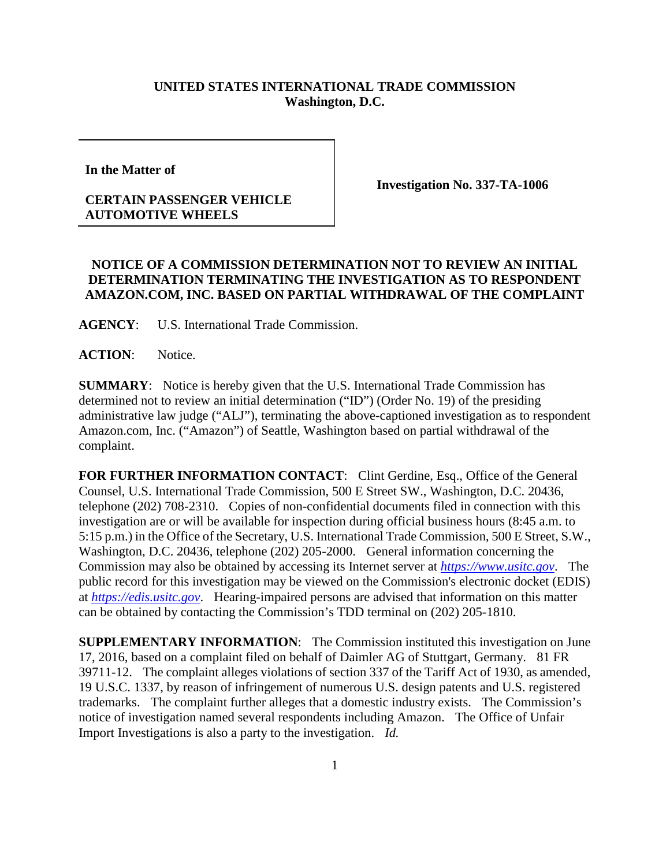## **UNITED STATES INTERNATIONAL TRADE COMMISSION Washington, D.C.**

**In the Matter of** 

## **CERTAIN PASSENGER VEHICLE AUTOMOTIVE WHEELS**

**Investigation No. 337-TA-1006**

## **NOTICE OF A COMMISSION DETERMINATION NOT TO REVIEW AN INITIAL DETERMINATION TERMINATING THE INVESTIGATION AS TO RESPONDENT AMAZON.COM, INC. BASED ON PARTIAL WITHDRAWAL OF THE COMPLAINT**

**AGENCY**: U.S. International Trade Commission.

**ACTION**: Notice.

**SUMMARY**: Notice is hereby given that the U.S. International Trade Commission has determined not to review an initial determination ("ID") (Order No. 19) of the presiding administrative law judge ("ALJ"), terminating the above-captioned investigation as to respondent Amazon.com, Inc. ("Amazon") of Seattle, Washington based on partial withdrawal of the complaint.

FOR FURTHER INFORMATION CONTACT: Clint Gerdine, Esq., Office of the General Counsel, U.S. International Trade Commission, 500 E Street SW., Washington, D.C. 20436, telephone (202) 708-2310. Copies of non-confidential documents filed in connection with this investigation are or will be available for inspection during official business hours (8:45 a.m. to 5:15 p.m.) in the Office of the Secretary, U.S. International Trade Commission, 500 E Street, S.W., Washington, D.C. 20436, telephone (202) 205-2000. General information concerning the Commission may also be obtained by accessing its Internet server at *[https://www.usitc.gov](https://www.usitc.gov/)*. The public record for this investigation may be viewed on the Commission's electronic docket (EDIS) at *[https://edis.usitc.gov](https://edis.usitc.gov/)*. Hearing-impaired persons are advised that information on this matter can be obtained by contacting the Commission's TDD terminal on (202) 205-1810.

**SUPPLEMENTARY INFORMATION**: The Commission instituted this investigation on June 17, 2016, based on a complaint filed on behalf of Daimler AG of Stuttgart, Germany. 81 FR 39711-12. The complaint alleges violations of section 337 of the Tariff Act of 1930, as amended, 19 U.S.C. 1337, by reason of infringement of numerous U.S. design patents and U.S. registered trademarks. The complaint further alleges that a domestic industry exists. The Commission's notice of investigation named several respondents including Amazon. The Office of Unfair Import Investigations is also a party to the investigation. *Id.*